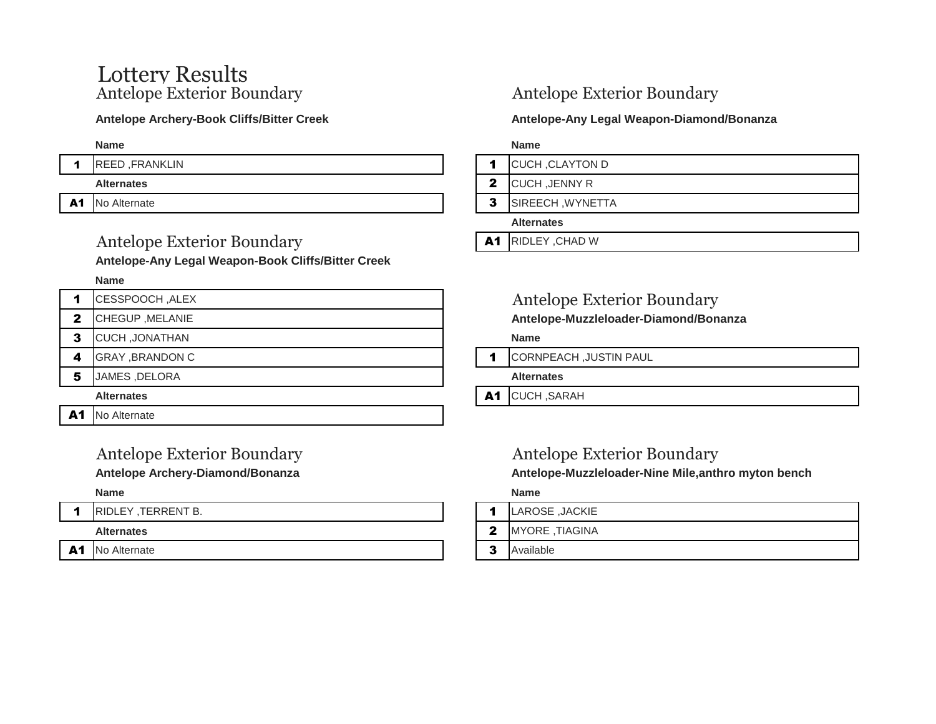# Lottery Results<br>Antelope Exterior Boundary

## Antelope Exterior Boundary **A1** RIDLEY, CHAD W

**Antelope-Any Legal Weapon-Book Cliffs/Bitter Creek** 

### **Name**

|    | CESSPOOCH, ALEX        |    | Antelo            |
|----|------------------------|----|-------------------|
| 2  | CHEGUP, MELANIE        |    | <b>Antelope</b>   |
| 3  | <b>CUCH, JONATHAN</b>  |    | <b>Name</b>       |
| 4  | <b>GRAY, BRANDON C</b> | 1  | <b>CORNPEA</b>    |
| 5  | JAMES, DELORA          |    | <b>Alternates</b> |
|    | <b>Alternates</b>      | A1 | <b>CUCH, SA</b>   |
| A1 | No Alternate           |    |                   |

## Antelope Exterior Boundary

### Antelope Archery-Book Cliffs/Bitter Creek **Antelope-Antelope-Any Legal Weapon-Diamond/Bonanza**

**Name Name**

- 1 REED ,FRANKLIN 1 CUCH ,CLAYTON D
	- **Alternates** 2 CUCH ,JENNY R
- A1 No Alternate **3 SIREECH** , WYNETTA

### **Alternates**

## Antelope Exterior Boundary

2 CHEGUP ,MELANIE **Antelope-Muzzleloader-Diamond/Bonanza** 

1 CORNPEACH ,JUSTIN PAUL

**Alternates** A1 CUCH ,SARAH

## Antelope Exterior Boundary Antelope Exterior Boundary

Antelope Archery-Diamond/Bonanza **Antelope-Muzzleloader-Nine Mile,anthro myton bench Antelope-Muzzleloader-Nine Mile,anthro myton bench** 

### **Name Name**

- 1 RIDLEY TERRENT B. 1 2 | 1 | LAROSE ,JACKIE
	- **Alternates** 2 MYORE ,TIAGINA
- A1 No Alternate **3** Available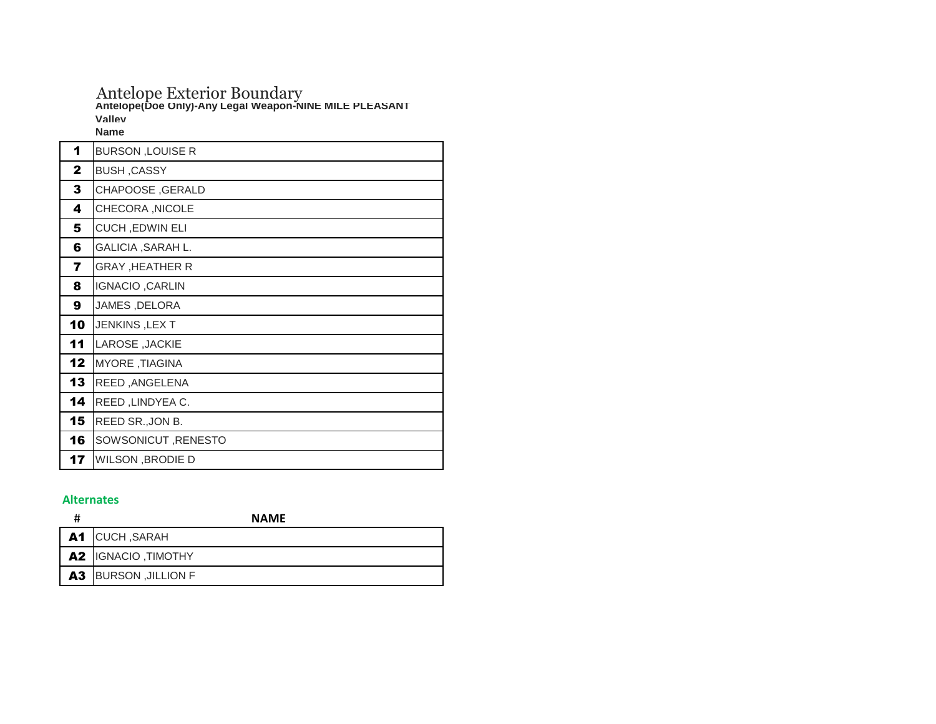## Antelope Exterior Boundary **Antelope(Doe Only)-Any Legal Weapon-NINE MILE PLEASANT Valley**

**Name**

| 1            | <b>BURSON, LOUISE R</b> |
|--------------|-------------------------|
| $\mathbf{2}$ | <b>BUSH, CASSY</b>      |
| 3            | <b>CHAPOOSE, GERALD</b> |
| 4            | CHECORA, NICOLE         |
| 5            | <b>CUCH, EDWIN ELI</b>  |
| 6            | GALICIA, SARAH L.       |
| 7            | <b>GRAY, HEATHER R</b>  |
| 8            | <b>IGNACIO, CARLIN</b>  |
| 9            | JAMES, DELORA           |
| 10           | JENKINS, LEXT           |
| 11           | LAROSE, JACKIE          |
| 12           | MYORE, TIAGINA          |
| 13           | REED, ANGELENA          |
| 14           | REED, LINDYEA C.        |
| 15           | REED SR., JON B.        |
| 16           | SOWSONICUT, RENESTO     |
| 17           | <b>WILSON, BRODIE D</b> |

### **Alternates**

| Ħ | <b>NAME</b>                  |
|---|------------------------------|
|   | A1 CUCH, SARAH               |
|   | <b>A2</b> IGNACIO, TIMOTHY   |
|   | <b>A3</b> BURSON , JILLION F |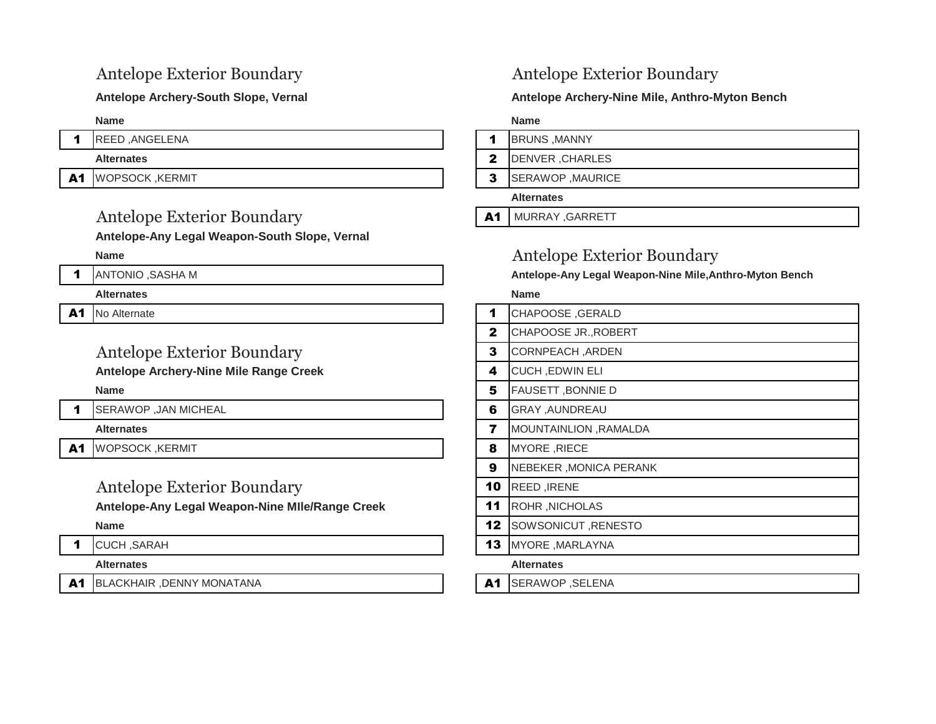## Antelope Exterior Boundary **A1 MURRAY, GARRETT**

**Antelope-Any Legal Weapon-South Slope, Vernal** 

### **Alternates Name**

A1 No Alternate

## Antelope Exterior Boundary

1 SERAWOP ,JAN MICHEAL

A1 WOPSOCK ,KERMIT

## Antelope Exterior Boundary

### 1 CUCH ,SARAH **13 MYORE** ,MARLAYNA

### **Alternates Alternates**

A1 BLACKHAIR ,DENNY MONATANA And and an analyzing the **A1** SERAWOP ,SELENA

## Antelope Exterior Boundary Antelope Exterior Boundary

### Antelope Archery-South Slope, Vernal **Antelope Archery-Nine Mile, Anthro-Myton Bench Antelope Archery-Nine Mile, Anthro-Myton Bench**

**Name Name**

- 1 REED ,ANGELENA 1 BRUNS ,MANNY
	- **Alternates** 2 DENVER ,CHARLES

A1 WOPSOCK ,KERMIT SALLARY SERAWOP ,MAURICE

### **Alternates**

## **Name** Antelope Exterior Boundary

1 ANTONIO ,SASHA M **Antelope-Any Legal Weapon-Nine Mile,Anthro-Myton Bench** 

| No Alternate                                    |    | CHAPOOSE, GERALD         |
|-------------------------------------------------|----|--------------------------|
|                                                 | 2  | CHAPOOSE JR., ROBERT     |
| <b>Antelope Exterior Boundary</b>               | 3  | CORNPEACH, ARDEN         |
| <b>Antelope Archery-Nine Mile Range Creek</b>   | 4  | <b>CUCH, EDWIN ELI</b>   |
| <b>Name</b>                                     | 5  | <b>FAUSETT, BONNIE D</b> |
| SERAWOP , JAN MICHEAL                           | 6  | <b>GRAY, AUNDREAU</b>    |
| <b>Alternates</b>                               |    | MOUNTAINLION, RAMALDA    |
| WOPSOCK ,KERMIT                                 | 8  | MYORE, RIECE             |
|                                                 | 9  | NEBEKER, MONICA PERANK   |
| <b>Antelope Exterior Boundary</b>               | 10 | REED, IRENE              |
| Antelope-Any Legal Weapon-Nine MIle/Range Creek | 11 | ROHR, NICHOLAS           |
| <b>Name</b>                                     | 12 | SOWSONICUT, RENESTO      |
|                                                 |    |                          |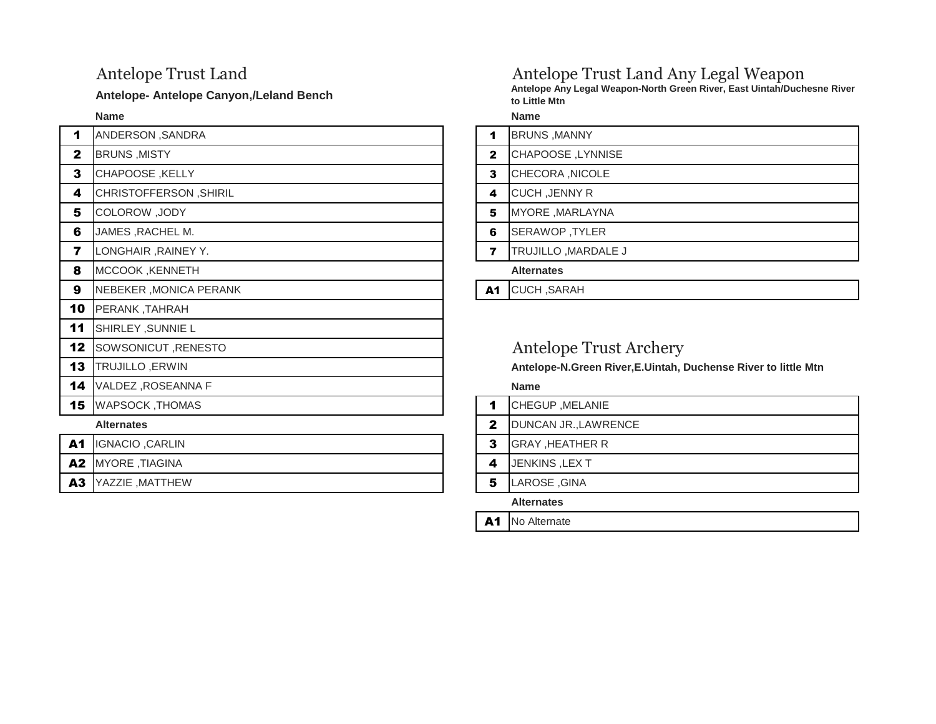**Name Name**

| $\blacktriangleleft$ | ANDERSON, SANDRA       | 1              | <b>BRUNS, MANNY</b>          |
|----------------------|------------------------|----------------|------------------------------|
| 2                    | <b>BRUNS, MISTY</b>    | $\mathbf{2}$   | CHAPOOSE, LYNNISE            |
| 3                    | <b>CHAPOOSE, KELLY</b> | 3              | CHECORA, NICOLE              |
| 4                    | CHRISTOFFERSON, SHIRIL | 4              | <b>CUCH, JENNY R</b>         |
| 5                    | COLOROW, JODY          | 5              | MYORE, MARLAYNA              |
| 6                    | JAMES , RACHEL M.      | 6              | SERAWOP, TYLER               |
| 7                    | LONGHAIR, RAINEY Y.    | $\overline{ }$ | TRUJILLO, MARDALE J          |
| 8                    | MCCOOK, KENNETH        |                | <b>Alternates</b>            |
| 9                    | NEBEKER, MONICA PERANK | A1             | <b>CUCH, SARAH</b>           |
| 10                   | <b>PERANK, TAHRAH</b>  |                |                              |
| 11                   | SHIRLEY , SUNNIE L     |                |                              |
| 12                   | SOWSONICUT, RENESTO    |                | Antelope Trust.              |
| 13                   | TRUJILLO, ERWIN        |                | <b>Antelope-N.Green Rive</b> |
| 14                   | VALDEZ, ROSEANNA F     |                | <b>Name</b>                  |
| 15                   | <b>WAPSOCK, THOMAS</b> | 1              | CHEGUP, MELANIE              |
|                      | <b>Alternates</b>      | $\mathbf{2}$   | DUNCAN JR., LAWREN           |

| A1 IGNACIO, CARLIN |
|--------------------|
| A2 MYORE, TIAGINA  |
| A3 YAZZIE, MATTHEW |
|                    |

## Antelope Trust Land Antelope Trust Land Any Legal Weapon

Antelope- Antelope Canyon,/Leland Bench **Antelope Antelope Any Legal Weapon-North Green River, East Uintah/Duchesne River to Little Mtn**

|              | <b>BRUNS, MANNY</b>  |
|--------------|----------------------|
| $\mathbf{2}$ | CHAPOOSE, LYNNISE    |
| 3            | CHECORA , NICOLE     |
| 4            | <b>CUCH, JENNY R</b> |
| 5            | MYORE, MARLAYNA      |
| 6            | SERAWOP, TYLER       |
|              | TRUJILI O MARDALE J  |

## Antelope Trust Archery

Antelope-N.Green River, E.Uintah, Duchense River to little Mtn

- 1 CHEGUP ,MELANIE
- **2** DUNCAN JR.,LAWRENCE
- **3** GRAY ,HEATHER R
- 4 JENKINS ,LEX T
- **5** LAROSE ,GINA

**Alternates**

A1 No Alternate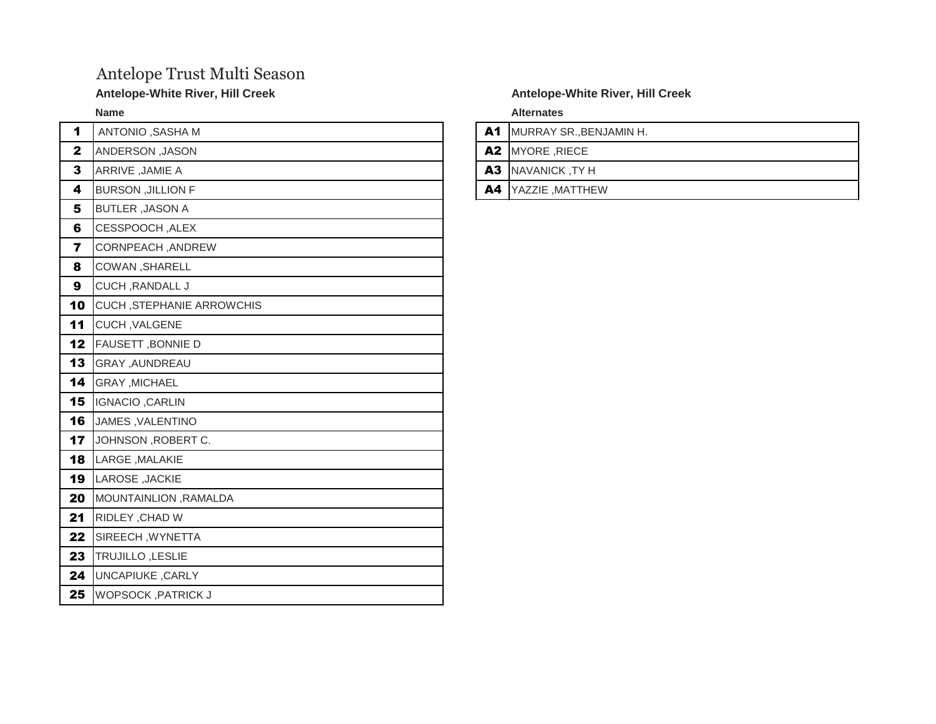## Antelope Trust Multi Season

### Antelope-White River, Hill Creek and Antelope-White River, Hill Creek

| 1           | ANTONIO, SASHA M                 |
|-------------|----------------------------------|
| $\mathbf 2$ | ANDERSON, JASON                  |
| 3           | ARRIVE, JAMIE A                  |
| 4           | <b>BURSON , JILLION F</b>        |
| 5           | <b>BUTLER, JASON A</b>           |
| 6           | CESSPOOCH, ALEX                  |
| 7           | CORNPEACH, ANDREW                |
| 8           | COWAN, SHARELL                   |
| 9           | <b>CUCH, RANDALL J</b>           |
| 10          | <b>CUCH, STEPHANIE ARROWCHIS</b> |
| 11          | <b>CUCH, VALGENE</b>             |
| 12          | FAUSETT, BONNIE D                |
| 13          | GRAY ,AUNDREAU                   |
| 14          | <b>GRAY , MICHAEL</b>            |
| 15          | IGNACIO, CARLIN                  |
| 16          | JAMES, VALENTINO                 |
| 17          | JOHNSON, ROBERT C.               |
| 18          | LARGE, MALAKIE                   |
| 19          | LAROSE, JACKIE                   |
| 20          | MOUNTAINLION, RAMALDA            |
| 21          | RIDLEY, CHAD W                   |
| 22          | SIREECH, WYNETTA                 |
| 23          | TRUJILLO, LESLIE                 |
| 24          | <b>UNCAPIUKE, CARLY</b>          |
| 25          | <b>WOPSOCK, PATRICK J</b>        |

**Name Alternates**

A1 MURRAY SR., BENJAMIN H.

A2 MYORE ,RIECE

**A3** NAVANICK ,TY H

A4 YAZZIE ,MATTHEW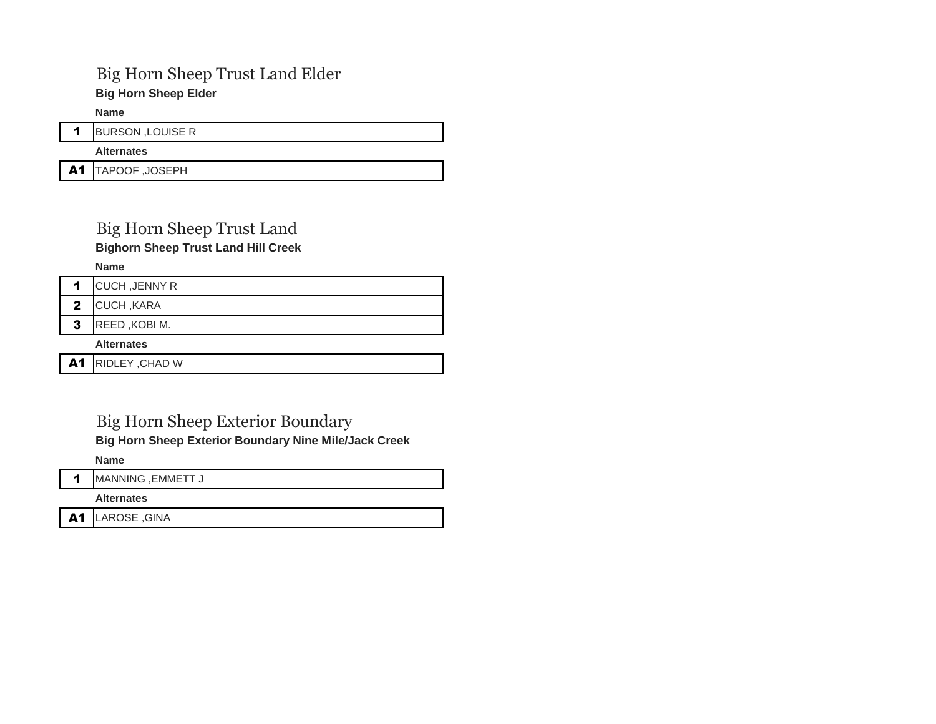## Big Horn Sheep Trust Land Elder

**Big Horn Sheep Elder** 

**Name**

| <b>BURSON, LOUISE R</b> |
|-------------------------|
| <b>Alternates</b>       |
| A1 TAPOOF, JOSEPH       |

## Big Horn Sheep Trust Land **Bighorn Sheep Trust Land Hill Creek**

**Name**

|              | <b>CUCH, JENNY R</b> |
|--------------|----------------------|
| $\mathbf{2}$ | <b>CUCH, KARA</b>    |
|              | REED, KOBI M.        |

**Alternates**

A1 RIDLEY, CHAD W

## Big Horn Sheep Exterior Boundary

**Big Horn Sheep Exterior Boundary Nine Mile/Jack Creek**

**Name**

1 MANNING , EMMETT J

**Alternates**

A1 LAROSE, GINA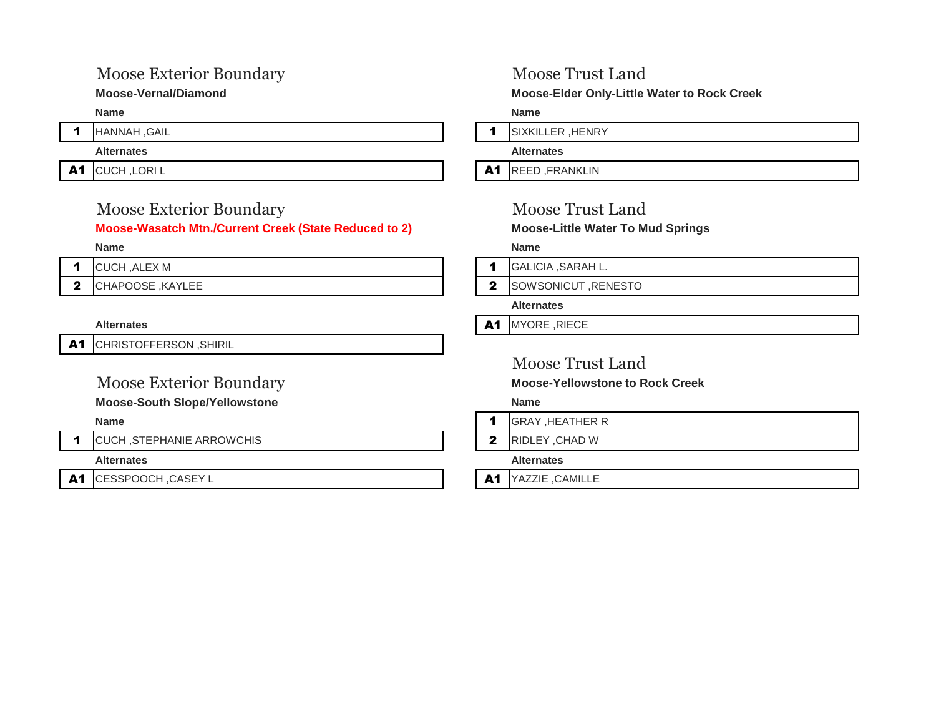## Moose Exterior Boundary Moose Trust Land

## Moose Exterior Boundary Moose Trust Land **Moose-Wasatch Mtn./Current Creek (State Reduced to 2) Moose-Little Water To Mud Springs**

| <b>CUCH, ALEX M</b> |
|---------------------|
| CHAPOOSE, KAYLEE    |

A1 CHRISTOFFERSON, SHIRIL

### **Moose-South Slope/Yellowstone Name**

1 CUCH, STEPHANIE ARROWCHIS 2 RIDLEY, CHAD W

A1 CESSPOOCH ,CASEY L And CESSPOOCH ,CASEY L

**Moose-Vernal/Diamond Moose-Elder Only-Little Water to Rock Creek** 

**Name Name**

1 HANNAH ,GAIL **1** SIXKILLER ,HENRY

**Alternates Alternates**

A1 CUCH,LORIL **A1** REED,FRANKLIN

### **Name Name**

- 1 GALICIA ,SARAH L.
- **2** SOWSONICUT ,RENESTO
	- **Alternates**
- **A1** MYORE ,RIECE

## Moose Trust Land

Moose Exterior Boundary **Moose-Yellowstone to Rock Creek**

- **Name** 1 GRAY ,HEATHER R
	-

**Alternates Alternates**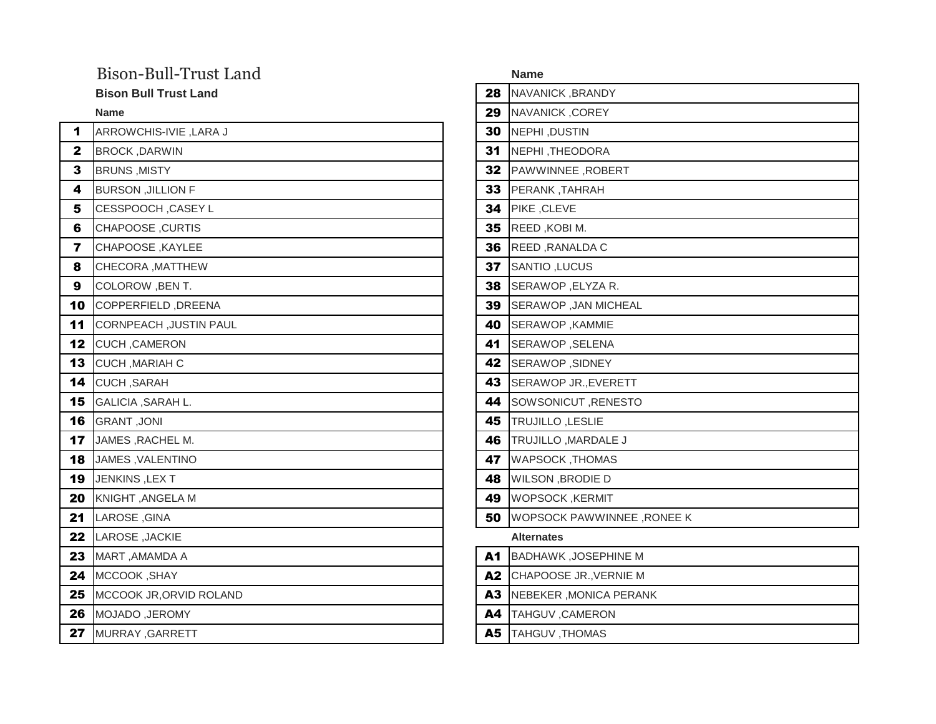## Bison-Bull-Trust Land

### **Bison Bull Trust Land**

| 1                       | ARROWCHIS-IVIE, LARA J        | 30 | NEPHI, DUSTIN                     |
|-------------------------|-------------------------------|----|-----------------------------------|
| $\mathbf{2}$            | <b>BROCK, DARWIN</b>          | 31 | NEPHI, THEODORA                   |
| 3                       | <b>BRUNS, MISTY</b>           | 32 | PAWWINNEE, ROBERT                 |
| 4                       | <b>BURSON , JILLION F</b>     | 33 | PERANK, TAHRAH                    |
| 5                       | CESSPOOCH, CASEY L            | 34 | PIKE, CLEVE                       |
| 6                       | <b>CHAPOOSE, CURTIS</b>       | 35 | REED, KOBI M.                     |
| $\overline{\mathbf{r}}$ | CHAPOOSE, KAYLEE              | 36 | REED, RANALDA C                   |
| 8                       | CHECORA, MATTHEW              | 37 | SANTIO, LUCUS                     |
| 9                       | COLOROW, BEN T.               | 38 | SERAWOP, ELYZA R.                 |
| 10                      | COPPERFIELD, DREENA           | 39 | SERAWOP, JAN MICHEAL              |
| 11                      | <b>CORNPEACH, JUSTIN PAUL</b> | 40 | SERAWOP, KAMMIE                   |
| 12                      | CUCH, CAMERON                 | 41 | SERAWOP, SELENA                   |
| 13                      | CUCH, MARIAH C                | 42 | SERAWOP, SIDNEY                   |
| 14                      | CUCH, SARAH                   | 43 | SERAWOP JR., EVERETT              |
| 15                      | GALICIA, SARAH L.             | 44 | SOWSONICUT, RENESTO               |
| 16                      | <b>GRANT, JONI</b>            | 45 | TRUJILLO, LESLIE                  |
| 17                      | JAMES, RACHEL M.              | 46 | TRUJILLO, MARDALE J               |
| 18                      | JAMES, VALENTINO              | 47 | <b>WAPSOCK, THOMAS</b>            |
| 19                      | JENKINS, LEXT                 | 48 | <b>WILSON, BRODIE D</b>           |
| 20                      | KNIGHT, ANGELA M              | 49 | <b>WOPSOCK, KERMIT</b>            |
| 21                      | LAROSE, GINA                  | 50 | <b>WOPSOCK PAWWINNEE, RONEE K</b> |
| 22                      | LAROSE, JACKIE                |    | <b>Alternates</b>                 |
| 23                      | MART, AMAMDA A                | A1 | <b>BADHAWK, JOSEPHINE M</b>       |
| 24                      | MCCOOK, SHAY                  | A2 | CHAPOOSE JR., VERNIE M            |
| 25                      | MCCOOK JR, ORVID ROLAND       | A3 | NEBEKER, MONICA PERANK            |
| 26                      | MOJADO, JEROMY                | A4 | TAHGUV, CAMERON                   |
| 27                      | MURRAY, GARRETT               | A5 | TAHGUV, THOMAS                    |

| Bison-Bull-Trust Land        |           | <b>Name</b>                 |
|------------------------------|-----------|-----------------------------|
| <b>Bison Bull Trust Land</b> | 28        | NAVANICK, BRANDY            |
| <b>Name</b>                  | 29        | NAVANICK, COREY             |
| ARROWCHIS-IVIE, LARA J       | 30        | NEPHI, DUSTIN               |
| <b>BROCK, DARWIN</b>         | 31        | NEPHI, THEODORA             |
| <b>BRUNS, MISTY</b>          | 32        | PAWWINNEE, ROBERT           |
| <b>BURSON, JILLION F</b>     | 33        | PERANK, TAHRAH              |
| CESSPOOCH, CASEY L           | 34        | PIKE, CLEVE                 |
| CHAPOOSE, CURTIS             | 35        | REED, KOBI M.               |
| CHAPOOSE, KAYLEE             | 36        | REED, RANALDA C             |
| CHECORA, MATTHEW             | 37        | SANTIO, LUCUS               |
| COLOROW, BEN T.              | 38        | SERAWOP, ELYZA R.           |
| COPPERFIELD, DREENA          | 39        | SERAWOP, JAN MICHEAL        |
| CORNPEACH, JUSTIN PAUL       | 40        | SERAWOP, KAMMIE             |
| CUCH, CAMERON                | 41        | SERAWOP, SELENA             |
| CUCH, MARIAH C               | 42        | SERAWOP, SIDNEY             |
| CUCH, SARAH                  | 43        | SERAWOP JR., EVERETT        |
| GALICIA, SARAH L.            | 44        | SOWSONICUT, RENESTO         |
| <b>GRANT, JONI</b>           | 45        | TRUJILLO, LESLIE            |
| JAMES, RACHEL M.             | 46        | TRUJILLO, MARDALE J         |
| JAMES, VALENTINO             | 47        | <b>WAPSOCK, THOMAS</b>      |
| JENKINS, LEXT                | 48        | <b>WILSON, BRODIE D</b>     |
| KNIGHT, ANGELA M             | 49        | <b>WOPSOCK, KERMIT</b>      |
| LAROSE, GINA                 | 50        | WOPSOCK PAWWINNEE, RONEE K  |
| LAROSE, JACKIE               |           | <b>Alternates</b>           |
| MART, AMAMDA A               | A1        | <b>BADHAWK, JOSEPHINE M</b> |
| MCCOOK, SHAY                 | <b>A2</b> | CHAPOOSE JR., VERNIE M      |
|                              |           |                             |

- A3 NEBEKER, MONICA PERANK
- A4 TAHGUV ,CAMERON
- **27 A5** TAHGUV ,THOMAS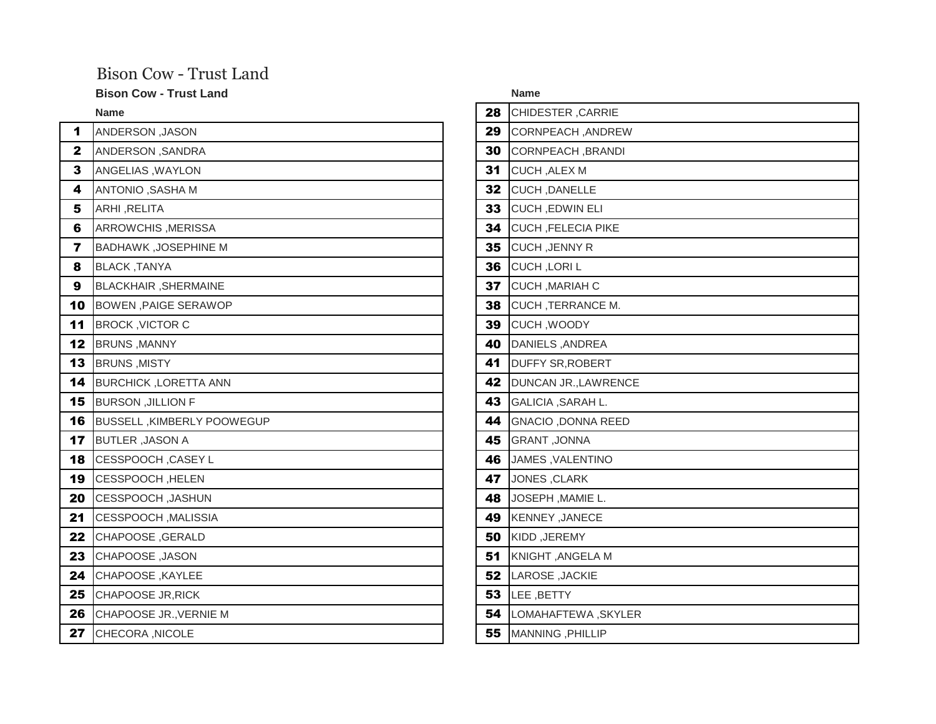## Bison Cow - Trust Land

### **Bison Cow - Trust Land**

| 1                       | ANDERSON, JASON              | 29 | CORNPEACH, ANDREW         |
|-------------------------|------------------------------|----|---------------------------|
| $\mathbf 2$             | ANDERSON, SANDRA             | 30 | CORNPEACH, BRANDI         |
| 3                       | ANGELIAS, WAYLON             | 31 | CUCH, ALEX M              |
| 4                       | ANTONIO, SASHA M             | 32 | <b>CUCH, DANELLE</b>      |
| 5                       | ARHI, RELITA                 | 33 | <b>CUCH, EDWIN ELI</b>    |
| 6                       | ARROWCHIS, MERISSA           | 34 | <b>CUCH, FELECIA PIKE</b> |
| $\overline{\mathbf{z}}$ | <b>BADHAWK, JOSEPHINE M</b>  | 35 | <b>CUCH, JENNY R</b>      |
| 8                       | <b>BLACK, TANYA</b>          | 36 | CUCH, LORIL               |
| 9                       | BLACKHAIR, SHERMAINE         | 37 | CUCH, MARIAH C            |
| 10                      | BOWEN, PAIGE SERAWOP         | 38 | <b>CUCH, TERRANCE M.</b>  |
| 11                      | <b>BROCK, VICTOR C</b>       | 39 | CUCH, WOODY               |
| 12                      | <b>BRUNS, MANNY</b>          | 40 | DANIELS, ANDREA           |
| 13                      | <b>BRUNS, MISTY</b>          | 41 | <b>DUFFY SR, ROBERT</b>   |
| 14                      | <b>BURCHICK, LORETTA ANN</b> | 42 | DUNCAN JR., LAWRENCE      |
| 15                      | <b>BURSON , JILLION F</b>    | 43 | GALICIA, SARAH L.         |
| 16                      | BUSSELL, KIMBERLY POOWEGUP   | 44 | <b>GNACIO, DONNA REED</b> |
| 17                      | <b>BUTLER, JASON A</b>       | 45 | <b>GRANT, JONNA</b>       |
| 18                      | CESSPOOCH, CASEY L           | 46 | JAMES, VALENTINO          |
| 19                      | CESSPOOCH, HELEN             | 47 | JONES, CLARK              |
| 20                      | CESSPOOCH, JASHUN            | 48 | JOSEPH, MAMIE L.          |
| 21                      | CESSPOOCH, MALISSIA          | 49 | KENNEY, JANECE            |
| 22                      | <b>CHAPOOSE, GERALD</b>      | 50 | KIDD, JEREMY              |
| 23                      | CHAPOOSE, JASON              | 51 | KNIGHT, ANGELA M          |
| 24                      | CHAPOOSE, KAYLEE             | 52 | LAROSE, JACKIE            |
| 25                      | <b>CHAPOOSE JR, RICK</b>     | 53 | LEE, BETTY                |
| 26                      | CHAPOOSE JR., VERNIE M       | 54 | LOMAHAFTEWA, SKYLER       |
| 27                      | CHECORA, NICOLE              | 55 | MANNING, PHILLIP          |

| <b>Bison Cow - Trust Land</b> |    | <b>Name</b>               |
|-------------------------------|----|---------------------------|
| Name                          | 28 | CHIDESTER, CARRIE         |
| <b>ANDERSON, JASON</b>        | 29 | CORNPEACH, ANDREW         |
| ANDERSON , SANDRA             | 30 | CORNPEACH, BRANDI         |
| ANGELIAS, WAYLON              | 31 | CUCH, ALEX M              |
| ANTONIO, SASHA M              | 32 | CUCH, DANELLE             |
| ARHI ,RELITA                  | 33 | <b>CUCH, EDWIN ELI</b>    |
| ARROWCHIS, MERISSA            | 34 | <b>CUCH, FELECIA PIKE</b> |
| <b>BADHAWK, JOSEPHINE M</b>   | 35 | <b>CUCH, JENNY R</b>      |
| <b>BLACK, TANYA</b>           | 36 | <b>CUCH, LORIL</b>        |
| <b>BLACKHAIR, SHERMAINE</b>   | 37 | CUCH, MARIAH C            |
| <b>BOWEN, PAIGE SERAWOP</b>   | 38 | <b>CUCH, TERRANCE M.</b>  |
| <b>BROCK, VICTOR C</b>        | 39 | CUCH, WOODY               |
| <b>BRUNS, MANNY</b>           | 40 | <b>DANIELS, ANDREA</b>    |
| <b>BRUNS, MISTY</b>           | 41 | <b>DUFFY SR, ROBERT</b>   |
| <b>BURCHICK, LORETTA ANN</b>  | 42 | DUNCAN JR., LAWRENCE      |
| <b>BURSON , JILLION F</b>     | 43 | <b>GALICIA, SARAH L.</b>  |
| BUSSELL, KIMBERLY POOWEGUP    | 44 | <b>GNACIO, DONNA REED</b> |
| <b>BUTLER, JASON A</b>        | 45 | <b>GRANT, JONNA</b>       |
| CESSPOOCH, CASEY L            | 46 | JAMES, VALENTINO          |
| CESSPOOCH, HELEN              | 47 | JONES, CLARK              |
| CESSPOOCH, JASHUN             | 48 | JOSEPH, MAMIE L.          |
| CESSPOOCH, MALISSIA           | 49 | KENNEY, JANECE            |
| CHAPOOSE, GERALD              | 50 | KIDD, JEREMY              |
| CHAPOOSE, JASON               | 51 | KNIGHT, ANGELA M          |
| CHAPOOSE, KAYLEE              | 52 | LAROSE, JACKIE            |
| CHAPOOSE JR, RICK             | 53 | LEE, BETTY                |
| CHAPOOSE JR., VERNIE M        | 54 | LOMAHAFTEWA, SKYLER       |
| CHECORA, NICOLE               | 55 | MANNING, PHILLIP          |
|                               |    |                           |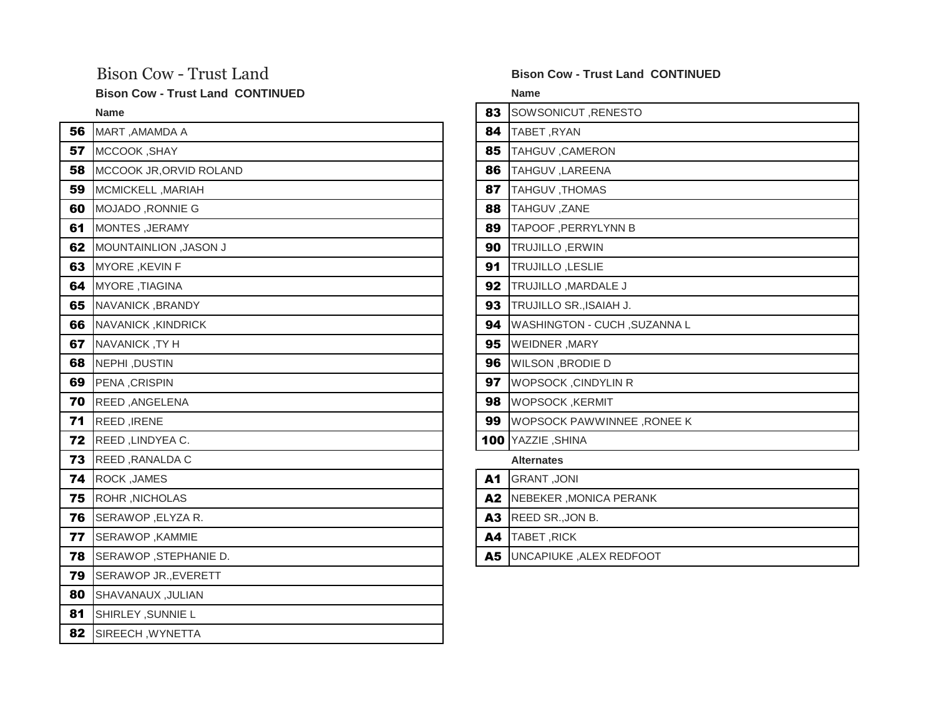**Bison Cow - Trust Land CONTINUED Name**

| 56 | MART, AMAMDA A               | 84             | TABET, RYAN                  |
|----|------------------------------|----------------|------------------------------|
| 57 | MCCOOK, SHAY                 | 85             | TAHGUV, CAMERON              |
| 58 | MCCOOK JR, ORVID ROLAND      | 86             | TAHGUV , LAREENA             |
| 59 | MCMICKELL, MARIAH            | 87             | TAHGUV, THOMAS               |
| 60 | MOJADO, RONNIE G             | 88             | TAHGUV, ZANE                 |
| 61 | <b>MONTES, JERAMY</b>        | 89             | TAPOOF, PERRYLYNN B          |
| 62 | <b>MOUNTAINLION, JASON J</b> | 90             | TRUJILLO, ERWIN              |
| 63 | MYORE, KEVIN F               | 91             | TRUJILLO, LESLIE             |
| 64 | MYORE, TIAGINA               | 92             | TRUJILLO, MARDALE J          |
| 65 | NAVANICK, BRANDY             | 93             | TRUJILLO SR., ISAIAH J.      |
| 66 | NAVANICK, KINDRICK           | 94             | WASHINGTON - CUCH, SUZANNA L |
| 67 | NAVANICK, TYH                | 95             | <b>WEIDNER, MARY</b>         |
| 68 | NEPHI, DUSTIN                | 96             | <b>WILSON, BRODIE D</b>      |
| 69 | PENA, CRISPIN                | 97             | WOPSOCK, CINDYLIN R          |
| 70 | REED, ANGELENA               | 98             | <b>WOPSOCK, KERMIT</b>       |
| 71 | REED, IRENE                  | 99             | WOPSOCK PAWWINNEE, RONEE K   |
| 72 | REED, LINDYEA C.             |                | 100 YAZZIE, SHINA            |
| 73 | REED, RANALDA C              |                | <b>Alternates</b>            |
| 74 | ROCK, JAMES                  | A1             | <b>GRANT, JONI</b>           |
| 75 | ROHR, NICHOLAS               | A <sub>2</sub> | NEBEKER, MONICA PERANK       |
| 76 | SERAWOP, ELYZA R.            | A3             | REED SR., JON B.             |
| 77 | SERAWOP, KAMMIE              | A4             | TABET, RICK                  |
| 78 | SERAWOP, STEPHANIE D.        | A5             | UNCAPIUKE, ALEX REDFOOT      |
| 79 | SERAWOP JR., EVERETT         |                |                              |
| 80 | <b>SHAVANAUX, JULIAN</b>     |                |                              |
| 81 | SHIRLEY, SUNNIE L            |                |                              |
| 82 | SIREECH, WYNETTA             |                |                              |

### Bison Cow - Trust Land **Bison Cow - Trust Land CONTINUED**

| <b>Name</b>                    | 83 | SOWSONICUT, RENESTO               |
|--------------------------------|----|-----------------------------------|
| MART, AMAMDA A                 | 84 | TABET, RYAN                       |
| MCCOOK, SHAY                   | 85 | <b>TAHGUV, CAMERON</b>            |
| MCCOOK JR, ORVID ROLAND        | 86 | TAHGUV , LAREENA                  |
| MCMICKELL, MARIAH              | 87 | TAHGUV, THOMAS                    |
| MOJADO, RONNIE G               | 88 | TAHGUV, ZANE                      |
| <b>MONTES, JERAMY</b>          | 89 | TAPOOF, PERRYLYNN B               |
| <b>U MOUNTAINLION, JASON J</b> | 90 | <b>TRUJILLO, ERWIN</b>            |
| MYORE, KEVIN F                 | 91 | TRUJILLO, LESLIE                  |
| MYORE, TIAGINA                 | 92 | TRUJILLO, MARDALE J               |
| NAVANICK, BRANDY               | 93 | TRUJILLO SR., ISAIAH J.           |
| NAVANICK, KINDRICK             | 94 | WASHINGTON - CUCH, SUZANNA L      |
| NAVANICK, TY H                 | 95 | <b>WEIDNER, MARY</b>              |
| NEPHI, DUSTIN                  | 96 | <b>WILSON, BRODIE D</b>           |
| PENA, CRISPIN                  | 97 | <b>WOPSOCK, CINDYLIN R</b>        |
| REED, ANGELENA                 | 98 | <b>WOPSOCK, KERMIT</b>            |
| REED, IRENE                    | 99 | <b>WOPSOCK PAWWINNEE, RONEE K</b> |
| REED, LINDYEA C.               |    | 100 YAZZIE, SHINA                 |
| REED, RANALDA C                |    | <b>Alternates</b>                 |
| ROCK, JAMES                    | A1 | <b>GRANT, JONI</b>                |
| ROHR, NICHOLAS                 | A2 | NEBEKER, MONICA PERANK            |
| SERAWOP, ELYZA R.              | A3 | REED SR., JON B.                  |
| SERAWOP, KAMMIE                | A4 | TABET, RICK                       |
| SERAWOP, STEPHANIE D.          |    | A5 UNCAPIUKE, ALEX REDFOOT        |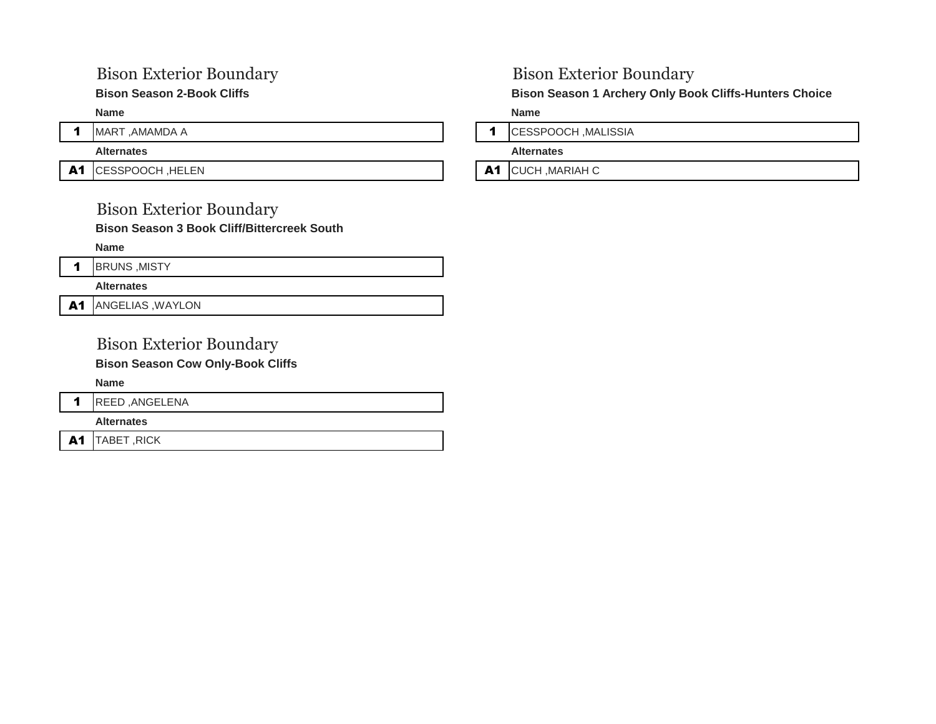## Bison Exterior Boundary Bison Exterior Boundary

A1 CESSPOOCH, HELEN **A1** CESSPOOCH, HELEN

## Bison Exterior Boundary

**Bison Season 3 Book Cliff/Bittercreek South** 

**Name**



**Alternates**

A1 ANGELIAS, WAYLON

## Bison Exterior Boundary

**Bison Season Cow Only-Book Cliffs** 

**Name**

1 REED , ANGELENA

**Alternates**

A1 TABET, RICK

**Bison Season 2-Book Cliffs Choice Bison Season 1 Archery Only Book Cliffs-Hunters Choice** 

**Name Name**

1 MART, AMAMDA A 1 MART , AMAMDA A 1 MART , AMAMDA A 1 MALISSIA

**Alternates Alternates**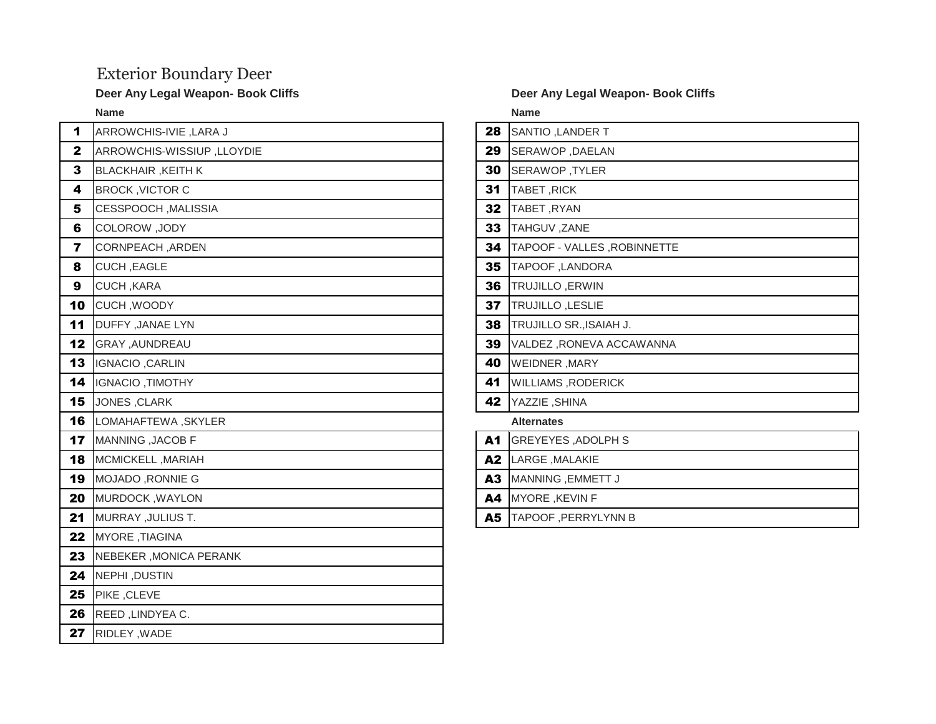## Exterior Boundary Deer

| 1                       | ARROWCHIS-IVIE, LARA J     | 28 | SANTIO, LANDER T            |
|-------------------------|----------------------------|----|-----------------------------|
| $\mathbf{2}$            | ARROWCHIS-WISSIUP, LLOYDIE | 29 | SERAWOP, DAELAN             |
| 3                       | <b>BLACKHAIR, KEITH K</b>  | 30 | SERAWOP, TYLER              |
| 4                       | <b>BROCK, VICTOR C</b>     | 31 | TABET, RICK                 |
| 5                       | CESSPOOCH, MALISSIA        | 32 | TABET, RYAN                 |
| 6                       | COLOROW, JODY              | 33 | TAHGUV, ZANE                |
| $\overline{\mathbf{r}}$ | CORNPEACH, ARDEN           | 34 | TAPOOF - VALLES, ROBINNETTE |
| 8                       | CUCH, EAGLE                | 35 | TAPOOF, LANDORA             |
| 9                       | CUCH, KARA                 | 36 | <b>TRUJILLO, ERWIN</b>      |
| 10                      | CUCH, WOODY                | 37 | TRUJILLO, LESLIE            |
| 11                      | DUFFY , JANAE LYN          | 38 | TRUJILLO SR., ISAIAH J.     |
| 12                      | GRAY, AUNDREAU             | 39 | VALDEZ, RONEVA ACCAWANNA    |
| 13                      | IGNACIO, CARLIN            | 40 | <b>WEIDNER, MARY</b>        |
| 14                      | IGNACIO, TIMOTHY           | 41 | <b>WILLIAMS, RODERICK</b>   |
| 15                      | JONES, CLARK               | 42 | YAZZIE, SHINA               |
| 16                      | LOMAHAFTEWA, SKYLER        |    | <b>Alternates</b>           |
| 17                      | MANNING, JACOB F           | A1 | <b>GREYEYES, ADOLPH S</b>   |
| 18                      | MCMICKELL, MARIAH          | A2 | LARGE, MALAKIE              |
| 19                      | MOJADO, RONNIE G           | A3 | MANNING, EMMETT J           |
| 20                      | <b>MURDOCK, WAYLON</b>     | A4 | MYORE, KEVIN F              |
| 21                      | MURRAY, JULIUS T.          | A5 | TAPOOF, PERRYLYNN B         |
| 22                      | MYORE, TIAGINA             |    |                             |
| 23                      | NEBEKER, MONICA PERANK     |    |                             |
| 24                      | NEPHI, DUSTIN              |    |                             |
| 25                      | PIKE, CLEVE                |    |                             |
| 26                      | REED, LINDYEA C.           |    |                             |
| 27                      | RIDLEY, WADE               |    |                             |

### **Deer Any Legal Weapon- Book Cliffs**  Deer Any Legal Weapon- Book Cliffs

**Name Name**

| 28 | SANTIO, LANDER T            |
|----|-----------------------------|
| 29 | SERAWOP, DAELAN             |
| 30 | SERAWOP, TYLER              |
| 31 | TABET, RICK                 |
| 32 | TABET, RYAN                 |
| 33 | TAHGUV, ZANE                |
| 34 | TAPOOF - VALLES ,ROBINNETTE |
| 35 | TAPOOF, LANDORA             |
| 36 | TRUJILLO, ERWIN             |
| 37 | TRUJILLO, LESLIE            |
| 38 | TRUJILLO SR., ISAIAH J.     |
| 39 | VALDEZ, RONEVA ACCAWANNA    |
| 40 | <b>WEIDNER, MARY</b>        |
| 41 | <b>WILLIAMS, RODERICK</b>   |
| 42 | YAZZIE, SHINA               |
|    | <b>Alternates</b>           |
| A1 | <b>GREYEYES, ADOLPH S</b>   |
| A2 | LARGE, MALAKIE              |
| A3 | MANNING, EMMETT J           |
|    |                             |

- A4 MYORE ,KEVIN F
- A5 TAPOOF ,PERRYLYNN B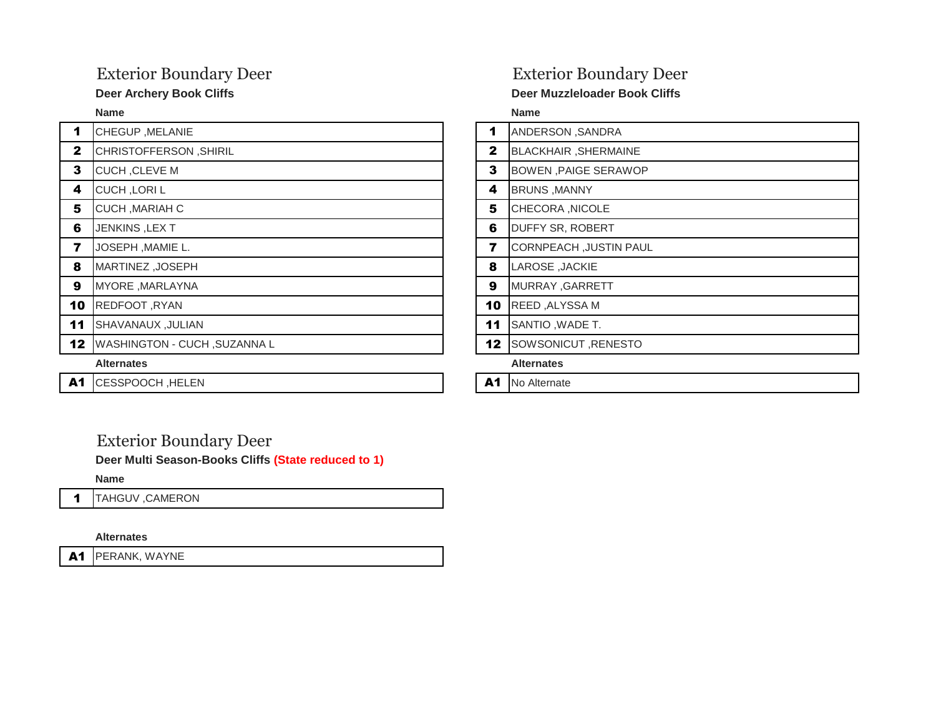| $\blacktriangleleft$ | CHEGUP, MELANIE                     | 1            | ANDERSON, SANDRA              |
|----------------------|-------------------------------------|--------------|-------------------------------|
| $\mathbf{2}$         | CHRISTOFFERSON, SHIRIL              | $\mathbf{2}$ | <b>BLACKHAIR, SHERMAINE</b>   |
| 3                    | CUCH, CLEVE M                       | 3            | <b>BOWEN, PAIGE SERAWOP</b>   |
| 4                    | <b>CUCH, LORIL</b>                  | 4            | <b>BRUNS, MANNY</b>           |
| 5                    | CUCH, MARIAH C                      | 5            | CHECORA, NICOLE               |
| 6                    | JENKINS, LEXT                       | 6            | <b>DUFFY SR, ROBERT</b>       |
| 7                    | JOSEPH, MAMIE L.                    | 7            | <b>CORNPEACH, JUSTIN PAUL</b> |
| 8                    | MARTINEZ, JOSEPH                    | 8            | LAROSE, JACKIE                |
| 9                    | MYORE, MARLAYNA                     | 9            | MURRAY, GARRETT               |
| 10                   | REDFOOT, RYAN                       | 10           | REED, ALYSSA M                |
| 11                   | <b>SHAVANAUX, JULIAN</b>            | 11           | SANTIO, WADE T.               |
| 12                   | <b>WASHINGTON - CUCH, SUZANNA L</b> | 12           | SOWSONICUT, RENESTO           |
|                      | <b>Alternates</b>                   |              | <b>Alternates</b>             |
| A1                   | CESSPOOCH, HELEN                    | A1           | No Alternate                  |

## Exterior Boundary Deer Exterior Boundary Deer

### **Deer Archery Book Cliffs Community Community Community Community Deer Muzzleloader Book Cliffs Community Community**

**Name Name**

| 1               | ANDERSON, SANDRA              |
|-----------------|-------------------------------|
| $\mathbf{2}$    | <b>BLACKHAIR, SHERMAINE</b>   |
| 3               | <b>BOWEN, PAIGE SERAWOP</b>   |
| 4               | <b>BRUNS, MANNY</b>           |
| 5               | CHECORA, NICOLE               |
| 6               | DUFFY SR, ROBERT              |
| 7               | <b>CORNPEACH, JUSTIN PAUL</b> |
| 8               | LAROSE, JACKIE                |
| 9               | MURRAY, GARRETT               |
| 10              | REED, ALYSSA M                |
| 11              | SANTIO, WADE T.               |
| 12 <sub>2</sub> | SOWSONICUT, RENESTO           |
|                 | Alternates                    |

## Exterior Boundary Deer

**Deer Multi Season-Books Cliffs (State reduced to 1)**

**Name**

1 TAHGUV, CAMERON

**Alternates**

A1 PERANK, WAYNE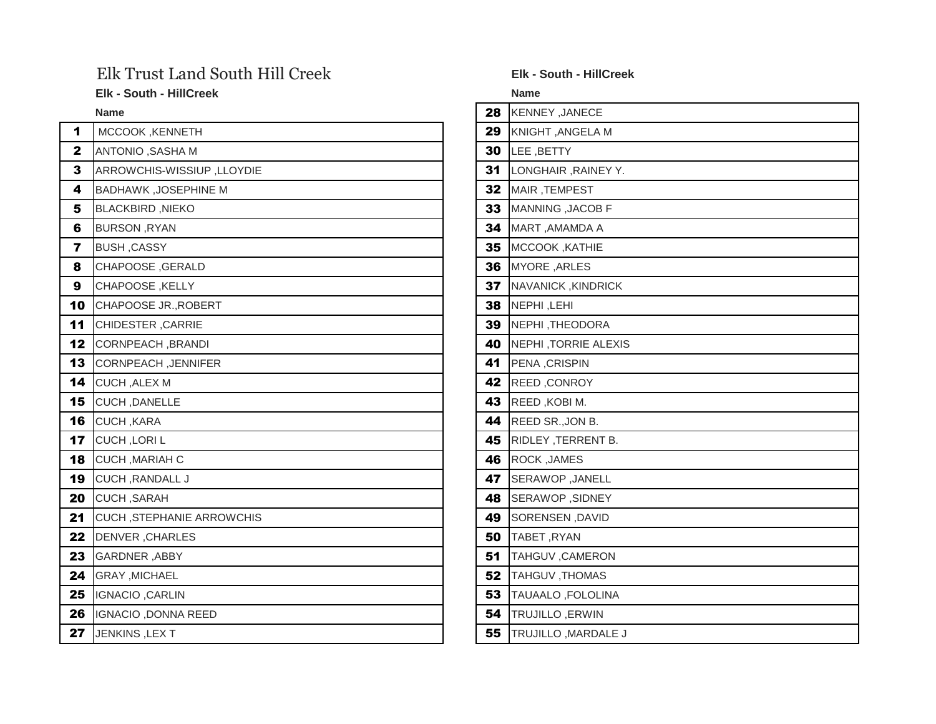## Elk Trust Land South Hill Creek **Elk - South - HillCreek**

**Elk - South - HillCreek Name**

| 1                       | <b>MCCOOK, KENNETH</b>           | 29 | KNIGHT, ANGELA M     |
|-------------------------|----------------------------------|----|----------------------|
| $\mathbf{2}$            | ANTONIO, SASHA M                 | 30 | LEE, BETTY           |
| 3                       | ARROWCHIS-WISSIUP, LLOYDIE       | 31 | LONGHAIR, RAINEY Y.  |
| 4                       | <b>BADHAWK, JOSEPHINE M</b>      | 32 | MAIR, TEMPEST        |
| 5                       | <b>BLACKBIRD, NIEKO</b>          | 33 | MANNING, JACOB F     |
| 6                       | BURSON, RYAN                     | 34 | MART, AMAMDA A       |
| $\overline{\mathbf{z}}$ | <b>BUSH, CASSY</b>               | 35 | MCCOOK, KATHIE       |
| 8                       | CHAPOOSE, GERALD                 | 36 | MYORE, ARLES         |
| 9                       | CHAPOOSE, KELLY                  | 37 | NAVANICK, KINDRICK   |
| 10                      | CHAPOOSE JR., ROBERT             | 38 | NEPHI, LEHI          |
| 11                      | CHIDESTER, CARRIE                | 39 | NEPHI, THEODORA      |
| 12                      | CORNPEACH, BRANDI                | 40 | NEPHI, TORRIE ALEXIS |
| 13                      | <b>CORNPEACH, JENNIFER</b>       | 41 | PENA, CRISPIN        |
| 14                      | <b>CUCH, ALEX M</b>              | 42 | REED, CONROY         |
| 15                      | CUCH, DANELLE                    | 43 | REED, KOBI M.        |
| 16                      | CUCH, KARA                       | 44 | REED SR., JON B.     |
| 17                      | CUCH, LORIL                      | 45 | RIDLEY, TERRENT B.   |
| 18                      | CUCH, MARIAH C                   | 46 | <b>ROCK, JAMES</b>   |
| 19                      | <b>CUCH, RANDALL J</b>           | 47 | SERAWOP, JANELL      |
| 20                      | CUCH, SARAH                      | 48 | SERAWOP, SIDNEY      |
| 21                      | <b>CUCH, STEPHANIE ARROWCHIS</b> | 49 | SORENSEN, DAVID      |
| 22                      | <b>DENVER, CHARLES</b>           | 50 | TABET, RYAN          |
| 23                      | GARDNER, ABBY                    | 51 | TAHGUV, CAMERON      |
| 24                      | <b>GRAY, MICHAEL</b>             | 52 | TAHGUV, THOMAS       |
| 25                      | IGNACIO, CARLIN                  | 53 | TAUAALO, FOLOLINA    |
| 26                      | IGNACIO, DONNA REED              | 54 | TRUJILLO, ERWIN      |
| 27                      | JENKINS, LEXT                    | 55 | TRUJILLO, MARDALE J  |

| <b>Name</b>                 | 28 | KENNEY, JANECE              |
|-----------------------------|----|-----------------------------|
| MCCOOK, KENNETH             | 29 | KNIGHT, ANGELA M            |
| ANTONIO, SASHA M            | 30 | LEE, BETTY                  |
| ARROWCHIS-WISSIUP, LLOYDIE  | 31 | LONGHAIR, RAINEY Y.         |
| <b>BADHAWK, JOSEPHINE M</b> | 32 | MAIR, TEMPEST               |
| <b>BLACKBIRD, NIEKO</b>     | 33 | MANNING , JACOB F           |
| <b>BURSON, RYAN</b>         | 34 | MART, AMAMDA A              |
| <b>BUSH, CASSY</b>          | 35 | MCCOOK, KATHIE              |
| CHAPOOSE, GERALD            | 36 | MYORE, ARLES                |
| CHAPOOSE, KELLY             | 37 | NAVANICK, KINDRICK          |
| CHAPOOSE JR., ROBERT        | 38 | NEPHI, LEHI                 |
| CHIDESTER, CARRIE           | 39 | NEPHI, THEODORA             |
| CORNPEACH, BRANDI           | 40 | <b>NEPHI, TORRIE ALEXIS</b> |
| CORNPEACH, JENNIFER         | 41 | PENA, CRISPIN               |
| <b>CUCH, ALEX M</b>         | 42 | <b>REED, CONROY</b>         |
| <b>CUCH, DANELLE</b>        | 43 | REED, KOBI M.               |
| CUCH, KARA                  | 44 | REED SR., JON B.            |
| CUCH, LORIL                 | 45 | RIDLEY, TERRENT B.          |
| CUCH, MARIAH C              | 46 | ROCK, JAMES                 |
| CUCH, RANDALL J             | 47 | SERAWOP, JANELL             |
| CUCH ,SARAH                 | 48 | SERAWOP, SIDNEY             |
| CUCH, STEPHANIE ARROWCHIS   | 49 | SORENSEN, DAVID             |
| DENVER, CHARLES             | 50 | TABET, RYAN                 |
| GARDNER, ABBY               | 51 | TAHGUV, CAMERON             |
| GRAY, MICHAEL               | 52 | TAHGUV, THOMAS              |
| IGNACIO, CARLIN             | 53 | TAUAALO, FOLOLINA           |
| IGNACIO, DONNA REED         | 54 | <b>TRUJILLO, ERWIN</b>      |
| JENKINS ,LEX T              | 55 | TRUJILLO, MARDALE J         |
|                             |    |                             |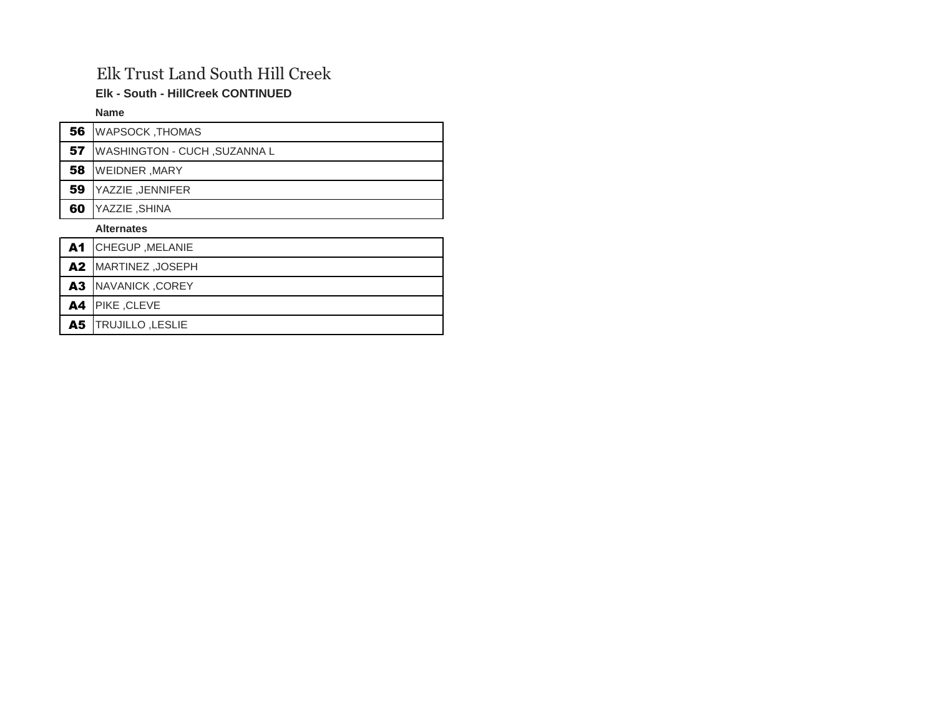## Elk Trust Land South Hill Creek

**Elk - South - HillCreek CONTINUED**

**Name**

| 56        | <b>WAPSOCK, THOMAS</b>              |
|-----------|-------------------------------------|
| 57        | <b>WASHINGTON - CUCH, SUZANNA L</b> |
| 58        | <b>WEIDNER, MARY</b>                |
| 59        | YAZZIE, JENNIFER                    |
| 60        | YAZZIE, SHINA                       |
|           | <b>Alternates</b>                   |
| <b>A1</b> | CHEGUP, MELANIE                     |
| A2        | MARTINEZ, JOSEPH                    |
| A3        | NAVANICK, COREY                     |
| A4        | PIKE, CLEVE                         |
| A5        | <b>TRUJILLO, LESLIE</b>             |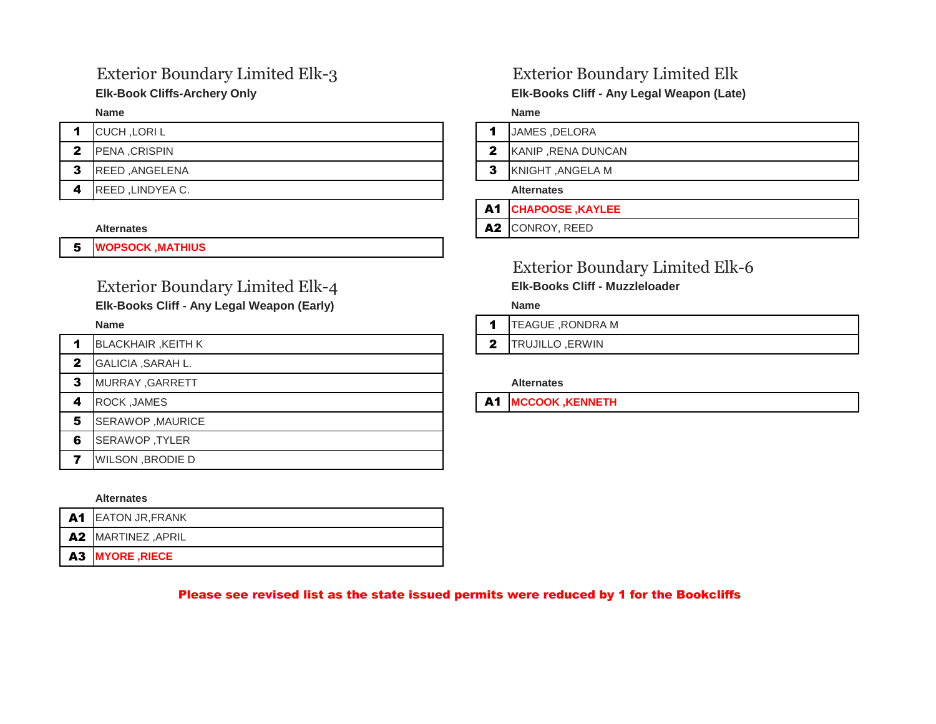## Exterior Boundary Limited Elk-3 Exterior Boundary Limited Elk

|   | <b>CUCH, LORIL</b>      |   | JAMES, DI         |
|---|-------------------------|---|-------------------|
| 2 | <b>IPENA CRISPIN</b>    | 2 | KANIP, RE         |
| 3 | <b>IREED .ANGELENA</b>  | 3 | <b>KNIGHT, A</b>  |
|   | <b>REED, LINDYEA C.</b> |   | <b>Alternates</b> |

5 **WOPSOCK ,MATHIUS** 

## Exterior Boundary Limited Elk-4 **Elk-Books Cliff - Muzzleloader**

### **Elk-Books Cliff - Any Legal Weapon (Early) Name**

| 1 | <b>BLACKHAIR, KEITH K</b> | 2  | <b>TRUJILLO</b>   |
|---|---------------------------|----|-------------------|
| 2 | GALICIA, SARAH L.         |    |                   |
| 3 | MURRAY, GARRETT           |    | <b>Alternates</b> |
| 4 | ROCK, JAMES               | A1 | <b>MCCOOK</b>     |
| 5 | SERAWOP, MAURICE          |    |                   |
| 6 | SERAWOP, TYLER            |    |                   |
| 7 | <b>WILSON, BRODIE D</b>   |    |                   |
|   |                           |    |                   |

### **Alternates**

| A1 EATON JR, FRANK |
|--------------------|
| A2 MARTINEZ, APRIL |
| A3 MYORE, RIECE    |

**Elk-Book Cliffs-Archery Only Elk-Books Cliff - Any Legal Weapon (Late)**

**Name Name**

- 1 JAMES, DELORA
- 2 KANIP ,RENA DUNCAN

**3** KNIGHT ,ANGELA M

A1 **CHAPOOSE ,KAYLEE** 

Alternates **ALTERNATION AND AZ CONROY, REED** 

## Exterior Boundary Limited Elk-6

- **1** TEAGUE ,RONDRA M
- **2** TRUJILLO ,ERWIN

**A1 MCCOOK ,KENNETH** 

### Please see revised list as the state issued permits were reduced by 1 for the Bookcliffs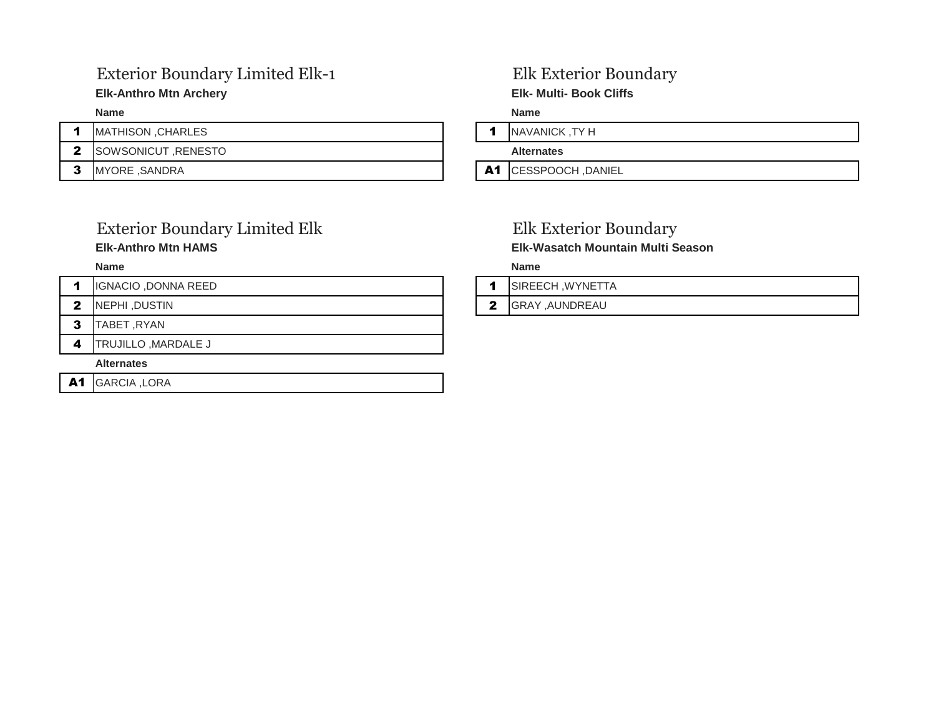## Exterior Boundary Limited Elk-1 Elk Exterior Boundary

### **Elk-Anthro Mtn Archery Elk- Multi- Book Cliffs**

|  | <b>IMATHISON .CHARLES</b>  |    | <b>NAVANICK</b>   |
|--|----------------------------|----|-------------------|
|  | <b>ISOWSONICUT RENESTO</b> |    | <b>Alternates</b> |
|  | <b>IMYORE .SANDRA</b>      | A1 | <b>ICESSPOO</b>   |

## Exterior Boundary Limited Elk **Elk Exterior Boundary Elk-Anthro Mtn HAMS Elk-Wasatch Mountain Multi Season**

|  | IGNACIO, DONNA REED |  |  | <b>ISIREECH .WYNETTA</b> |
|--|---------------------|--|--|--------------------------|
|--|---------------------|--|--|--------------------------|

- 
- 3 TABET ,RYAN
- 4 TRUJILLO, MARDALE J

### **Alternates**

A1 GARCIA ,LORA

**Name Name**

1 NAVANICK, TY H

A1 CESSPOOCH ,DANIEL

**Name Name**

| SIREECH, WYNETTA |
|------------------|
|------------------|

2 NEPHI ,DUSTIN 2 GRAY ,AUNDREAU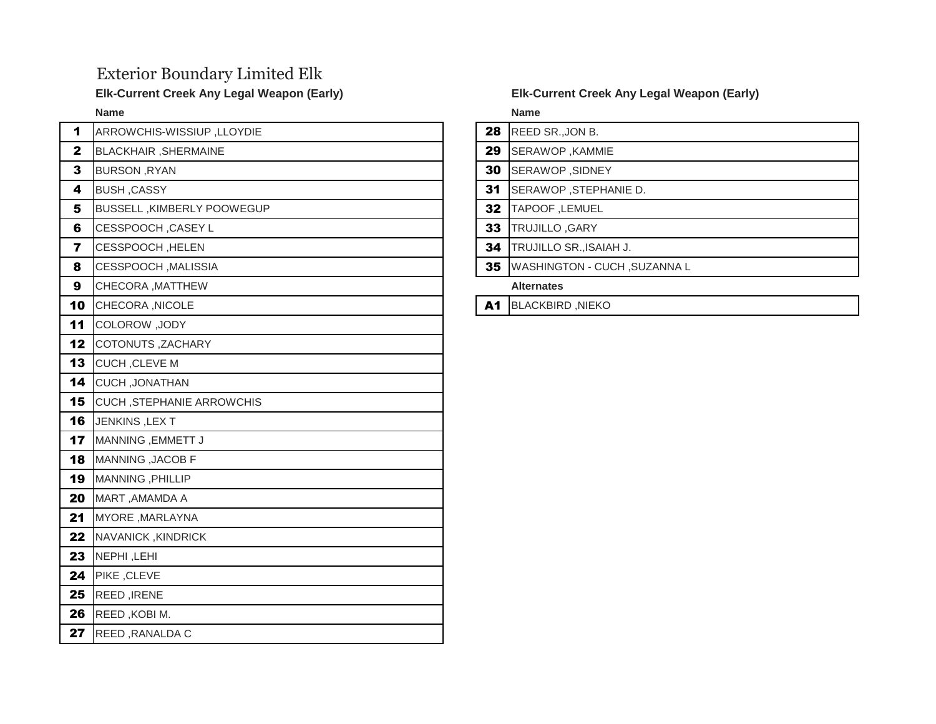## Exterior Boundary Limited Elk

| 1                       | ARROWCHIS-WISSIUP, LLOYDIE       | 28        | REED SR.          |
|-------------------------|----------------------------------|-----------|-------------------|
| $\mathbf{2}$            | BLACKHAIR, SHERMAINE             | 29        | <b>SERAWOR</b>    |
| 3                       | <b>BURSON, RYAN</b>              | 30        | <b>SERAWOF</b>    |
| 4                       | <b>BUSH, CASSY</b>               | 31        | <b>SERAWOR</b>    |
| 5                       | BUSSELL , KIMBERLY POOWEGUP      | 32        | TAPOOF,           |
| 6                       | CESSPOOCH, CASEY L               | 33        | <b>TRUJILLO</b>   |
| $\overline{\mathbf{z}}$ | CESSPOOCH, HELEN                 | 34        | <b>TRUJILLO</b>   |
| 8                       | CESSPOOCH, MALISSIA              | 35        | <b>WASHING</b>    |
| 9                       | CHECORA, MATTHEW                 |           | <b>Alternates</b> |
| 10                      | CHECORA, NICOLE                  | <b>A1</b> | <b>BLACKBIR</b>   |
| 11                      | COLOROW, JODY                    |           |                   |
| 12                      | <b>COTONUTS, ZACHARY</b>         |           |                   |
| 13                      | CUCH, CLEVE M                    |           |                   |
| 14                      | <b>CUCH, JONATHAN</b>            |           |                   |
| 15                      | <b>CUCH, STEPHANIE ARROWCHIS</b> |           |                   |
| 16                      | JENKINS, LEXT                    |           |                   |
| 17                      | MANNING, EMMETT J                |           |                   |
| 18                      | MANNING , JACOB F                |           |                   |
| 19                      | MANNING, PHILLIP                 |           |                   |
| 20                      | MART, AMAMDA A                   |           |                   |
| 21                      | MYORE, MARLAYNA                  |           |                   |
| 22                      | NAVANICK, KINDRICK               |           |                   |
| 23                      | NEPHI, LEHI                      |           |                   |
| 24                      | PIKE, CLEVE                      |           |                   |
| 25                      | REED, IRENE                      |           |                   |
| 26                      | REED, KOBI M.                    |           |                   |
| 27                      | REED, RANALDA C                  |           |                   |

### **Elk-Current Creek Any Legal Weapon (Early) Elk-Current Creek Any Legal Weapon (Early)**

**Name Name**

- 28 REED SR.,JON B.
- 29 SERAWOP ,KAMMIE
- SERAWOP ,SIDNEY
- 31 SERAWOP ,STEPHANIE D.
- **32 TAPOOF ,LEMUEL**
- TRUJILLO ,GARY
- **34 TRUJILLO SR.,ISAIAH J.**
- 35 WASHINGTON CUCH ,SUZANNA L
	-

A1 BLACKBIRD ,NIEKO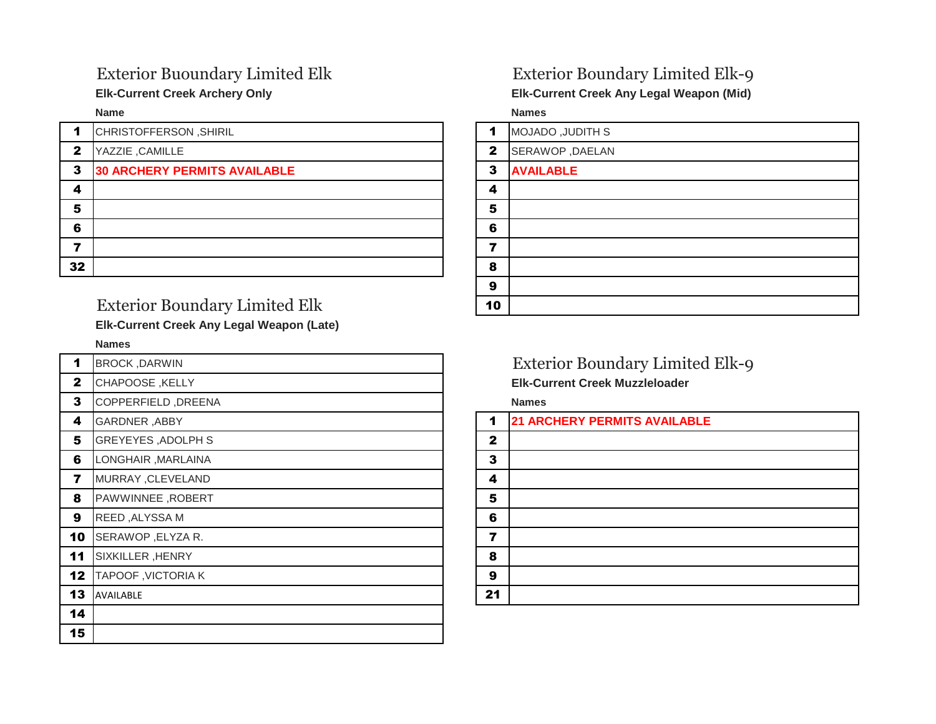| 1            | CHRISTOFFERSON, SHIRIL              | 1            | <b>MOJADO, JUDITH S</b> |
|--------------|-------------------------------------|--------------|-------------------------|
| $\mathbf{2}$ | YAZZIE, CAMILLE                     | $\mathbf{2}$ | SERAWOP, DAELAN         |
| 3            | <b>30 ARCHERY PERMITS AVAILABLE</b> | 3            | <b>AVAILABLE</b>        |
| 4            |                                     | 4            |                         |
| 5            |                                     | 5            |                         |
| 6            |                                     | 6            |                         |
|              |                                     |              |                         |
| 32           |                                     | 8            |                         |
|              |                                     |              |                         |

## Exterior Boundary Limited Elk

**Elk-Current Creek Any Legal Weapon (Late)**

### **Names**

| 1            | <b>BROCK, DARWIN</b>      |              | <b>Exterior Boundary Limited</b>      |
|--------------|---------------------------|--------------|---------------------------------------|
| $\mathbf{2}$ | <b>CHAPOOSE, KELLY</b>    |              | <b>Elk-Current Creek Muzzleloader</b> |
| 3            | COPPERFIELD, DREENA       |              | <b>Names</b>                          |
| 4            | <b>GARDNER, ABBY</b>      | 1            | <b>21 ARCHERY PERMITS AVAILABLE</b>   |
| 5            | <b>GREYEYES, ADOLPH S</b> | $\mathbf{2}$ |                                       |
| 6            | LONGHAIR, MARLAINA        | 3            |                                       |
| 7            | MURRAY, CLEVELAND         | 4            |                                       |
| 8            | PAWWINNEE, ROBERT         | 5            |                                       |
| 9            | REED, ALYSSA M            | 6            |                                       |
| 10           | SERAWOP, ELYZA R.         | 7            |                                       |
| 11           | SIXKILLER, HENRY          | 8            |                                       |
| 12           | TAPOOF, VICTORIA K        | 9            |                                       |
| 13           | AVAILABLE                 | 21           |                                       |
| 14           |                           |              |                                       |
| 15           |                           |              |                                       |

## Exterior Buoundary Limited Elk Exterior Boundary Limited Elk-9

**Elk-Current Creek Archery Only Elk-Current Creek Any Legal Weapon (Mid)**

**Name Names**

| $\blacktriangleleft$ | <b>MOJADO, JUDITH S</b> |
|----------------------|-------------------------|
| $\mathbf{2}$         | SERAWOP, DAELAN         |
| 3                    | <b>AVAILABLE</b>        |
| 4                    |                         |
| 5                    |                         |
| 6                    |                         |
| 7                    |                         |
| 8                    |                         |
| 9                    |                         |
| 10                   |                         |

### Exterior Boundary Limited Elk-9 **Elk-Current Creek Muzzleloader**

| 1            | <b>21 ARCHERY PERMITS AVAILABLE</b> |
|--------------|-------------------------------------|
|              |                                     |
| $\mathbf{2}$ |                                     |
| $\mathbf{3}$ |                                     |
| 4            |                                     |
| 5            |                                     |
| 6            |                                     |
| 7            |                                     |
| 8            |                                     |
| 9            |                                     |
| 21           |                                     |